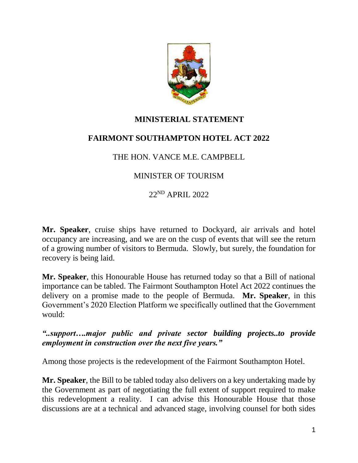

# **MINISTERIAL STATEMENT**

## **FAIRMONT SOUTHAMPTON HOTEL ACT 2022**

### THE HON. VANCE M.E. CAMPBELL

### MINISTER OF TOURISM

22ND APRIL 2022

**Mr. Speaker**, cruise ships have returned to Dockyard, air arrivals and hotel occupancy are increasing, and we are on the cusp of events that will see the return of a growing number of visitors to Bermuda. Slowly, but surely, the foundation for recovery is being laid.

**Mr. Speaker**, this Honourable House has returned today so that a Bill of national importance can be tabled. The Fairmont Southampton Hotel Act 2022 continues the delivery on a promise made to the people of Bermuda. **Mr. Speaker**, in this Government's 2020 Election Platform we specifically outlined that the Government would:

### *"..support….major public and private sector building projects..to provide employment in construction over the next five years."*

Among those projects is the redevelopment of the Fairmont Southampton Hotel.

**Mr. Speaker**, the Bill to be tabled today also delivers on a key undertaking made by the Government as part of negotiating the full extent of support required to make this redevelopment a reality. I can advise this Honourable House that those discussions are at a technical and advanced stage, involving counsel for both sides